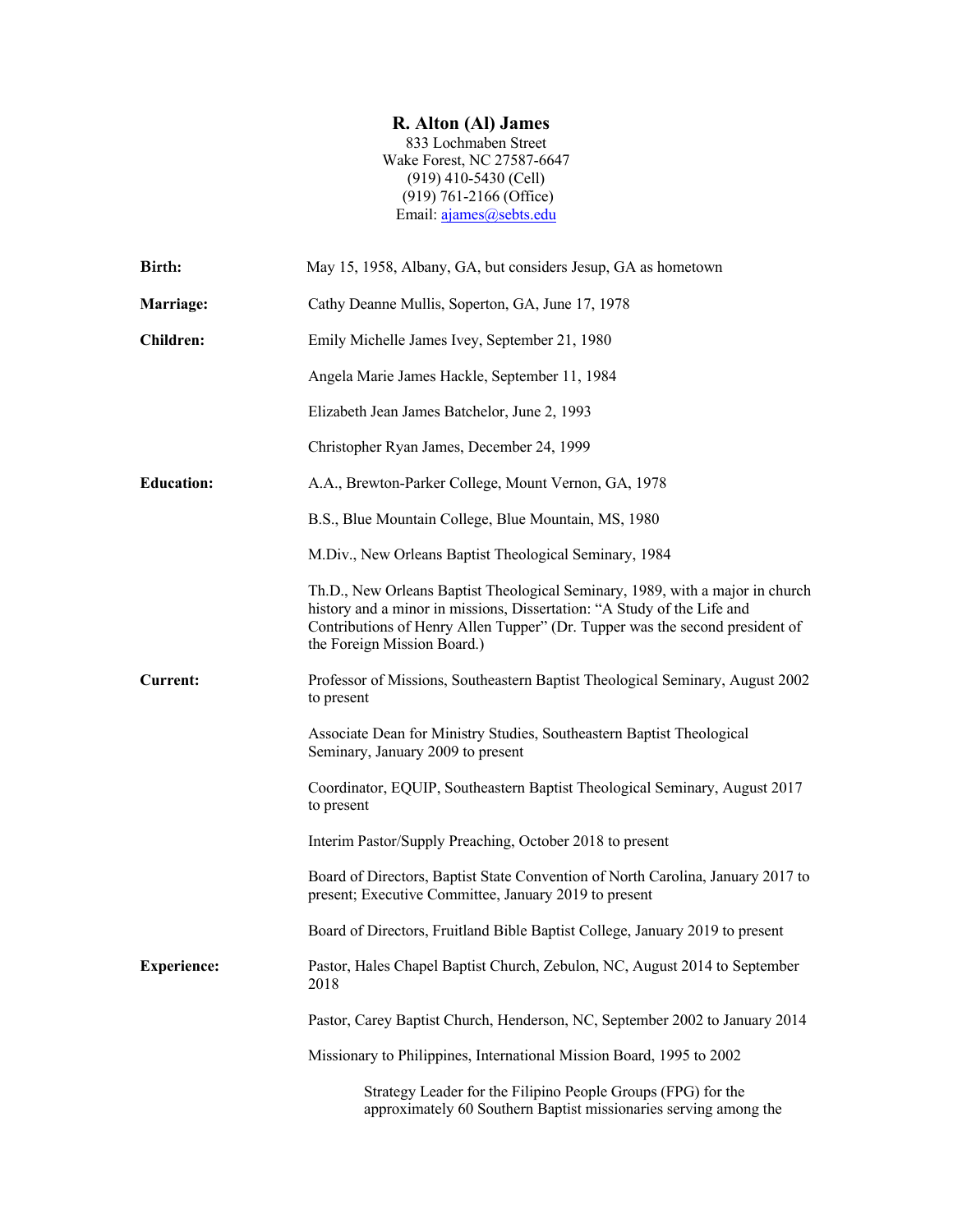## **R. Alton (Al) James**

833 Lochmaben Street Wake Forest, NC 27587-6647 (919) 410-5430 (Cell) (919) 761-2166 (Office) Email: ajames@sebts.edu

| Birth:             | May 15, 1958, Albany, GA, but considers Jesup, GA as hometown                                                                                                                                                                                                           |
|--------------------|-------------------------------------------------------------------------------------------------------------------------------------------------------------------------------------------------------------------------------------------------------------------------|
| Marriage:          | Cathy Deanne Mullis, Soperton, GA, June 17, 1978                                                                                                                                                                                                                        |
| <b>Children:</b>   | Emily Michelle James Ivey, September 21, 1980                                                                                                                                                                                                                           |
|                    | Angela Marie James Hackle, September 11, 1984                                                                                                                                                                                                                           |
|                    | Elizabeth Jean James Batchelor, June 2, 1993                                                                                                                                                                                                                            |
|                    | Christopher Ryan James, December 24, 1999                                                                                                                                                                                                                               |
| <b>Education:</b>  | A.A., Brewton-Parker College, Mount Vernon, GA, 1978                                                                                                                                                                                                                    |
|                    | B.S., Blue Mountain College, Blue Mountain, MS, 1980                                                                                                                                                                                                                    |
|                    | M.Div., New Orleans Baptist Theological Seminary, 1984                                                                                                                                                                                                                  |
|                    | Th.D., New Orleans Baptist Theological Seminary, 1989, with a major in church<br>history and a minor in missions, Dissertation: "A Study of the Life and<br>Contributions of Henry Allen Tupper" (Dr. Tupper was the second president of<br>the Foreign Mission Board.) |
| <b>Current:</b>    | Professor of Missions, Southeastern Baptist Theological Seminary, August 2002<br>to present                                                                                                                                                                             |
|                    | Associate Dean for Ministry Studies, Southeastern Baptist Theological<br>Seminary, January 2009 to present                                                                                                                                                              |
|                    | Coordinator, EQUIP, Southeastern Baptist Theological Seminary, August 2017<br>to present                                                                                                                                                                                |
|                    | Interim Pastor/Supply Preaching, October 2018 to present                                                                                                                                                                                                                |
|                    | Board of Directors, Baptist State Convention of North Carolina, January 2017 to<br>present; Executive Committee, January 2019 to present                                                                                                                                |
|                    | Board of Directors, Fruitland Bible Baptist College, January 2019 to present                                                                                                                                                                                            |
| <b>Experience:</b> | Pastor, Hales Chapel Baptist Church, Zebulon, NC, August 2014 to September<br>2018                                                                                                                                                                                      |
|                    | Pastor, Carey Baptist Church, Henderson, NC, September 2002 to January 2014                                                                                                                                                                                             |
|                    | Missionary to Philippines, International Mission Board, 1995 to 2002                                                                                                                                                                                                    |
|                    | Strategy Leader for the Filipino People Groups (FPG) for the<br>approximately 60 Southern Baptist missionaries serving among the                                                                                                                                        |